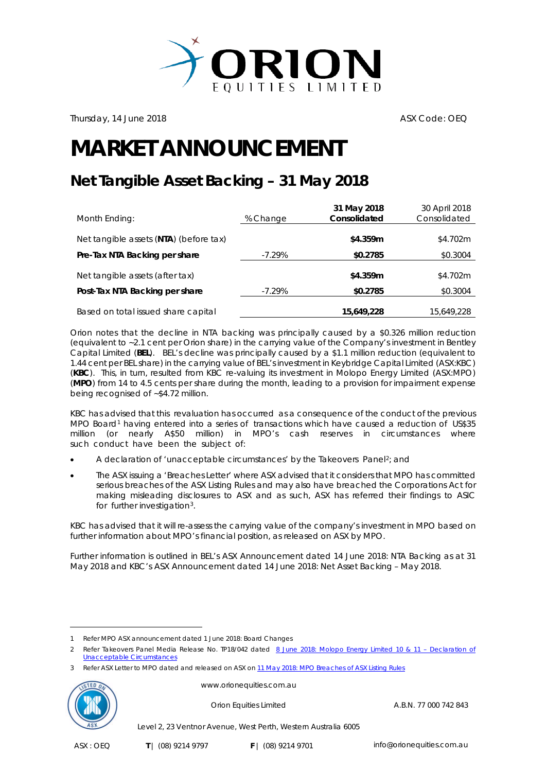

Thursday, 14 June 2018 **ASX Code: OEQ** 

## **MARKET ANNOUNCEMENT**

## **Net Tangible Asset Backing – 31 May 2018**

| Month Ending:                          | % Change  | 31 May 2018<br>Consolidated | 30 April 2018<br>Consolidated |
|----------------------------------------|-----------|-----------------------------|-------------------------------|
| Net tangible assets (NTA) (before tax) |           | \$4.359m                    | \$4.702m                      |
| Pre-Tax NTA Backing per share          | $-7.29\%$ | \$0.2785                    | \$0.3004                      |
| Net tangible assets (after tax)        |           | \$4.359m                    | \$4.702m                      |
| Post-Tax NTA Backing per share         | $-7.29\%$ | \$0.2785                    | \$0.3004                      |
| Based on total issued share capital    |           | 15,649,228                  | 15,649,228                    |

Orion notes that the decline in NTA backing was principally caused by a \$0.326 million reduction (equivalent to ~2.1 cent per Orion share) in the carrying value of the Company's investment in Bentley Capital Limited (**BEL**). BEL's decline was principally caused by a \$1.1 million reduction (equivalent to 1.44 cent per BEL share) in the carrying value of BEL's investment in Keybridge Capital Limited (ASX:KBC) (**KBC**). This, in turn, resulted from KBC re-valuing its investment in Molopo Energy Limited (ASX:MPO) (**MPO**) from 14 to 4.5 cents per share during the month, leading to a provision for impairment expense being recognised of ~\$4.72 million.

KBC has advised that this revaluation has occurred as a consequence of the conduct of the previous MPO Board<sup>[1](#page-0-0)</sup> having entered into a series of transactions which have caused a reduction of US\$35 million (or nearly A\$50 million) in MPO's cash reserves in circumstances where such conduct have been the subject of:

- A declaration of 'unacceptable circumstances' by the Takeovers Panel[2](#page-0-1); and
- The ASX issuing a 'Breaches Letter' where ASX advised that it considers that MPO has committed serious breaches of the ASX Listing Rules and may also have breached the Corporations Act for making misleading disclosures to ASX and as such, ASX has referred their findings to ASIC for further investigation<sup>3</sup>.

KBC has advised that it will re-assess the carrying value of the company's investment in MPO based on further information about MPO's financial position, as released on ASX by MPO.

Further information is outlined in BEL's ASX Announcement dated 14 June 2018: NTA Backing as at 31 May 2018 and KBC's ASX Announcement dated 14 June 2018: Net Asset Backing – May 2018.

<span id="page-0-2"></span><span id="page-0-1"></span><span id="page-0-0"></span>Refer ASX Letter to MPO dated and released on ASX on 11 May 2018: MPO Breaches of ASX Listing Rules



<u>.</u>

www.orionequities.com.au

Orion Equities Limited A.B.N. 77 000 742 843

Level 2, 23 Ventnor Avenue, West Perth, Western Australia 6005

<sup>1</sup> Refer MPO ASX announcement dated 1 June 2018: Board Changes

<sup>2</sup> Refer Takeovers Panel Media Release No. TP18/042 dated 8 June 2018: Molopo Energy Limited 10 & 11 - Declaration of [Unacceptable Circumstances](https://www.takeovers.gov.au/content/DisplayDoc.aspx?doc=media_releases/2018/042.htm&pageID=&Year=)